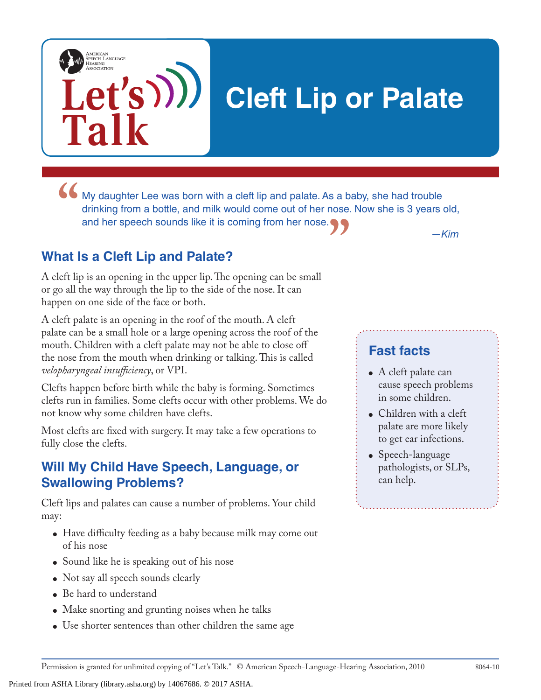# **Cleft Lip or Palate**

• My daughter Lee was born with a cleft lip and palate. As a baby, she had trouble drinking from a bottle, and milk would come out of her nose. Now she is 3 years of and her speech sounds like it is coming from her nose. **"** *—Kim* drinking from a bottle, and milk would come out of her nose. Now she is 3 years old, and her speech sounds like it is coming from her nose.

### **What Is a Cleft Lip and Palate?**

**Let's**

**Talk**

AMERICAN<br>SPEECH-LANGUAGE-<br>HEARING<br>ASSOCIATION

A cleft lip is an opening in the upper lip. The opening can be small or go all the way through the lip to the side of the nose. It can happen on one side of the face or both.

A cleft palate is an opening in the roof of the mouth. A cleft palate can be a small hole or a large opening across the roof of the mouth. Children with a cleft palate may not be able to close off the nose from the mouth when drinking or talking. This is called *velopharyngeal insufficiency*, or VPI.

Clefts happen before birth while the baby is forming. Sometimes clefts run in families. Some clefts occur with other problems. We do not know why some children have clefts.

Most clefts are fixed with surgery. It may take a few operations to fully close the clefts.

#### **Will My Child Have Speech, Language, or Swallowing Problems?**

Cleft lips and palates can cause a number of problems. Your child may:

- Have difficulty feeding as a baby because milk may come out of his nose
- Sound like he is speaking out of his nose
- Not say all speech sounds clearly
- Be hard to understand
- Make snorting and grunting noises when he talks
- Use shorter sentences than other children the same age

### **Fast facts**

- A cleft palate can cause speech problems in some children.
- Children with a cleft palate are more likely to get ear infections.
- Speech-language pathologists, or SLPs, can help.

Permission is granted for unlimited copying of "Let's Talk." © American Speech-Language-Hearing Association, 2010 8064-10

Printed from ASHA Library (library.asha.org) by 14067686. © 2017 ASHA.